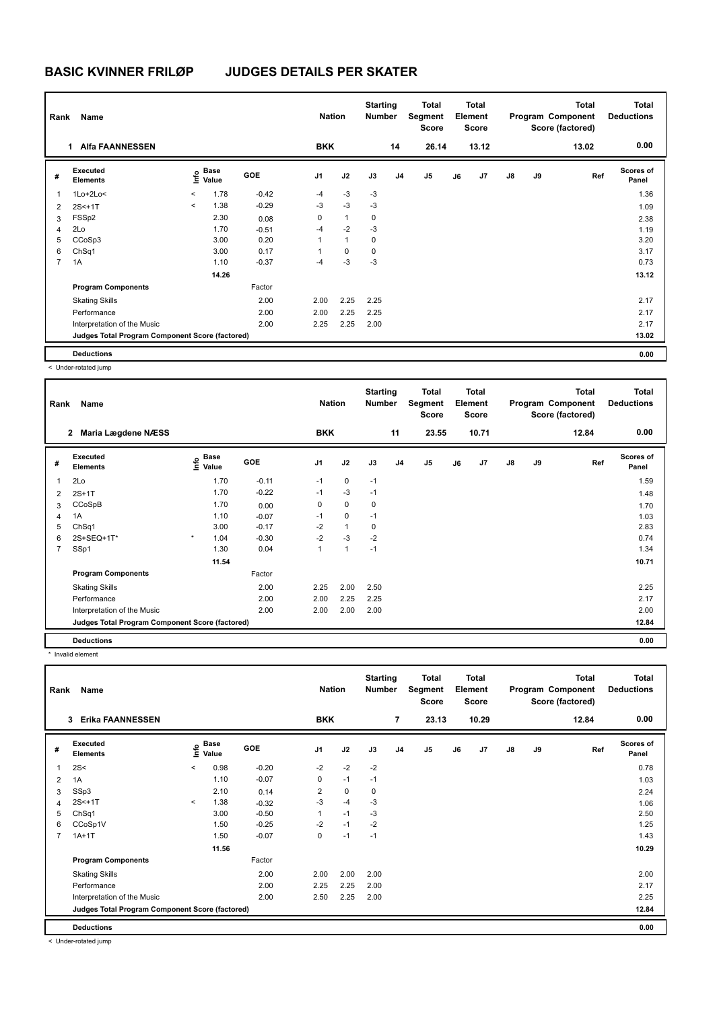# **BASIC KVINNER FRILØP JUDGES DETAILS PER SKATER**

| Rank<br>Name   |                                                 |         |                                             |            | <b>Nation</b>  |              | <b>Starting</b><br><b>Number</b> |                | <b>Total</b><br>Segment<br><b>Score</b> |    | <b>Total</b><br>Element<br><b>Score</b> |               | <b>Total</b><br>Program Component<br>Score (factored) |       | <b>Total</b><br><b>Deductions</b> |
|----------------|-------------------------------------------------|---------|---------------------------------------------|------------|----------------|--------------|----------------------------------|----------------|-----------------------------------------|----|-----------------------------------------|---------------|-------------------------------------------------------|-------|-----------------------------------|
|                | <b>Alfa FAANNESSEN</b><br>1                     |         |                                             |            | <b>BKK</b>     |              |                                  | 14             | 26.14                                   |    | 13.12                                   |               |                                                       | 13.02 | 0.00                              |
| #              | Executed<br><b>Elements</b>                     |         | <b>Base</b><br>e <sup>Base</sup><br>⊆ Value | <b>GOE</b> | J <sub>1</sub> | J2           | J3                               | J <sub>4</sub> | J5                                      | J6 | J7                                      | $\mathsf{J}8$ | J9                                                    | Ref   | <b>Scores of</b><br>Panel         |
| $\mathbf{1}$   | $1Lo+2Lo<$                                      | $\,<$   | 1.78                                        | $-0.42$    | $-4$           | $-3$         | $-3$                             |                |                                         |    |                                         |               |                                                       |       | 1.36                              |
| 2              | $2S < +1T$                                      | $\prec$ | 1.38                                        | $-0.29$    | $-3$           | $-3$         | $-3$                             |                |                                         |    |                                         |               |                                                       |       | 1.09                              |
| 3              | FSSp2                                           |         | 2.30                                        | 0.08       | 0              | $\mathbf{1}$ | 0                                |                |                                         |    |                                         |               |                                                       |       | 2.38                              |
| $\overline{4}$ | 2Lo                                             |         | 1.70                                        | $-0.51$    | $-4$           | $-2$         | $-3$                             |                |                                         |    |                                         |               |                                                       |       | 1.19                              |
| 5              | CCoSp3                                          |         | 3.00                                        | 0.20       | 1              | $\mathbf{1}$ | $\mathbf 0$                      |                |                                         |    |                                         |               |                                                       |       | 3.20                              |
| 6              | ChSq1                                           |         | 3.00                                        | 0.17       | 1              | $\mathbf 0$  | $\mathbf 0$                      |                |                                         |    |                                         |               |                                                       |       | 3.17                              |
| $\overline{7}$ | 1A                                              |         | 1.10                                        | $-0.37$    | $-4$           | $-3$         | $-3$                             |                |                                         |    |                                         |               |                                                       |       | 0.73                              |
|                |                                                 |         | 14.26                                       |            |                |              |                                  |                |                                         |    |                                         |               |                                                       |       | 13.12                             |
|                | <b>Program Components</b>                       |         |                                             | Factor     |                |              |                                  |                |                                         |    |                                         |               |                                                       |       |                                   |
|                | <b>Skating Skills</b>                           |         |                                             | 2.00       | 2.00           | 2.25         | 2.25                             |                |                                         |    |                                         |               |                                                       |       | 2.17                              |
|                | Performance                                     |         |                                             | 2.00       | 2.00           | 2.25         | 2.25                             |                |                                         |    |                                         |               |                                                       |       | 2.17                              |
|                | Interpretation of the Music                     |         |                                             | 2.00       | 2.25           | 2.25         | 2.00                             |                |                                         |    |                                         |               |                                                       |       | 2.17                              |
|                | Judges Total Program Component Score (factored) |         |                                             |            |                |              |                                  |                |                                         |    |                                         |               |                                                       |       | 13.02                             |
|                | <b>Deductions</b>                               |         |                                             |            |                |              |                                  |                |                                         |    |                                         |               |                                                       |       | 0.00                              |

< Under-rotated jump

| Rank | Name                                            |                           |            | <b>Nation</b> |              | <b>Starting</b><br><b>Number</b> |                | <b>Total</b><br>Segment<br><b>Score</b> |    | <b>Total</b><br>Element<br><b>Score</b> |               |    | <b>Total</b><br>Program Component<br>Score (factored) | <b>Total</b><br><b>Deductions</b> |
|------|-------------------------------------------------|---------------------------|------------|---------------|--------------|----------------------------------|----------------|-----------------------------------------|----|-----------------------------------------|---------------|----|-------------------------------------------------------|-----------------------------------|
|      | Maria Lægdene NÆSS<br>$\mathbf{2}$              |                           |            | <b>BKK</b>    |              |                                  | 11             | 23.55                                   |    | 10.71                                   |               |    | 12.84                                                 | 0.00                              |
| #    | <b>Executed</b><br><b>Elements</b>              | Base<br>o Base<br>⊆ Value | <b>GOE</b> | J1            | J2           | J3                               | J <sub>4</sub> | J <sub>5</sub>                          | J6 | J7                                      | $\mathsf{J}8$ | J9 | Ref                                                   | <b>Scores of</b><br>Panel         |
| 1    | 2Lo                                             | 1.70                      | $-0.11$    | $-1$          | $\mathbf 0$  | $-1$                             |                |                                         |    |                                         |               |    |                                                       | 1.59                              |
| 2    | $2S+1T$                                         | 1.70                      | $-0.22$    | $-1$          | $-3$         | $-1$                             |                |                                         |    |                                         |               |    |                                                       | 1.48                              |
| 3    | CCoSpB                                          | 1.70                      | 0.00       | 0             | $\mathbf 0$  | 0                                |                |                                         |    |                                         |               |    |                                                       | 1.70                              |
| 4    | 1A                                              | 1.10                      | $-0.07$    | $-1$          | $\mathbf 0$  | $-1$                             |                |                                         |    |                                         |               |    |                                                       | 1.03                              |
| 5    | ChSq1                                           | 3.00                      | $-0.17$    | $-2$          | $\mathbf{1}$ | 0                                |                |                                         |    |                                         |               |    |                                                       | 2.83                              |
| 6    | 2S+SEQ+1T*                                      | $\star$<br>1.04           | $-0.30$    | $-2$          | $-3$         | $-2$                             |                |                                         |    |                                         |               |    |                                                       | 0.74                              |
| 7    | SSp1                                            | 1.30                      | 0.04       | 1             | $\mathbf{1}$ | $-1$                             |                |                                         |    |                                         |               |    |                                                       | 1.34                              |
|      |                                                 | 11.54                     |            |               |              |                                  |                |                                         |    |                                         |               |    |                                                       | 10.71                             |
|      | <b>Program Components</b>                       |                           | Factor     |               |              |                                  |                |                                         |    |                                         |               |    |                                                       |                                   |
|      | <b>Skating Skills</b>                           |                           | 2.00       | 2.25          | 2.00         | 2.50                             |                |                                         |    |                                         |               |    |                                                       | 2.25                              |
|      | Performance                                     |                           | 2.00       | 2.00          | 2.25         | 2.25                             |                |                                         |    |                                         |               |    |                                                       | 2.17                              |
|      | Interpretation of the Music                     |                           | 2.00       | 2.00          | 2.00         | 2.00                             |                |                                         |    |                                         |               |    |                                                       | 2.00                              |
|      | Judges Total Program Component Score (factored) |                           |            |               |              |                                  |                |                                         |    |                                         |               |    |                                                       | 12.84                             |
|      | <b>Deductions</b>                               |                           |            |               |              |                                  |                |                                         |    |                                         |               |    |                                                       | 0.00                              |

\* Invalid element

| Name<br>Rank   |                                                 |         |                      |            | <b>Nation</b>  |             | <b>Starting</b><br><b>Number</b> |                | Total<br>Segment<br><b>Score</b> | <b>Total</b><br>Element<br><b>Score</b> |       |               |    | <b>Total</b><br>Program Component<br>Score (factored) | <b>Total</b><br><b>Deductions</b> |
|----------------|-------------------------------------------------|---------|----------------------|------------|----------------|-------------|----------------------------------|----------------|----------------------------------|-----------------------------------------|-------|---------------|----|-------------------------------------------------------|-----------------------------------|
|                | <b>Erika FAANNESSEN</b><br>3                    |         |                      |            | <b>BKK</b>     |             |                                  | 7              | 23.13                            |                                         | 10.29 |               |    | 12.84                                                 | 0.00                              |
| #              | Executed<br><b>Elements</b>                     | ١nf٥    | <b>Base</b><br>Value | <b>GOE</b> | J <sub>1</sub> | J2          | J3                               | J <sub>4</sub> | J <sub>5</sub>                   | J6                                      | J7    | $\mathsf{J}8$ | J9 | Ref                                                   | <b>Scores of</b><br>Panel         |
| 1              | 2S<                                             | $\prec$ | 0.98                 | $-0.20$    | $-2$           | $-2$        | $-2$                             |                |                                  |                                         |       |               |    |                                                       | 0.78                              |
| 2              | 1A                                              |         | 1.10                 | $-0.07$    | 0              | $-1$        | $-1$                             |                |                                  |                                         |       |               |    |                                                       | 1.03                              |
| 3              | SSp3                                            |         | 2.10                 | 0.14       | 2              | $\mathbf 0$ | 0                                |                |                                  |                                         |       |               |    |                                                       | 2.24                              |
| $\overline{4}$ | 2S<+1T                                          | $\prec$ | 1.38                 | $-0.32$    | -3             | $-4$        | $-3$                             |                |                                  |                                         |       |               |    |                                                       | 1.06                              |
| 5              | ChSq1                                           |         | 3.00                 | $-0.50$    |                | $-1$        | $-3$                             |                |                                  |                                         |       |               |    |                                                       | 2.50                              |
| 6              | CCoSp1V                                         |         | 1.50                 | $-0.25$    | $-2$           | $-1$        | $-2$                             |                |                                  |                                         |       |               |    |                                                       | 1.25                              |
| $\overline{7}$ | $1A+1T$                                         |         | 1.50                 | $-0.07$    | 0              | $-1$        | $-1$                             |                |                                  |                                         |       |               |    |                                                       | 1.43                              |
|                |                                                 |         | 11.56                |            |                |             |                                  |                |                                  |                                         |       |               |    |                                                       | 10.29                             |
|                | <b>Program Components</b>                       |         |                      | Factor     |                |             |                                  |                |                                  |                                         |       |               |    |                                                       |                                   |
|                | <b>Skating Skills</b>                           |         |                      | 2.00       | 2.00           | 2.00        | 2.00                             |                |                                  |                                         |       |               |    |                                                       | 2.00                              |
|                | Performance                                     |         |                      | 2.00       | 2.25           | 2.25        | 2.00                             |                |                                  |                                         |       |               |    |                                                       | 2.17                              |
|                | Interpretation of the Music                     |         |                      | 2.00       | 2.50           | 2.25        | 2.00                             |                |                                  |                                         |       |               |    |                                                       | 2.25                              |
|                | Judges Total Program Component Score (factored) |         |                      |            |                |             |                                  |                |                                  |                                         |       |               |    |                                                       | 12.84                             |
|                | <b>Deductions</b>                               |         |                      |            |                |             |                                  |                |                                  |                                         |       |               |    |                                                       | 0.00                              |

< Under-rotated jump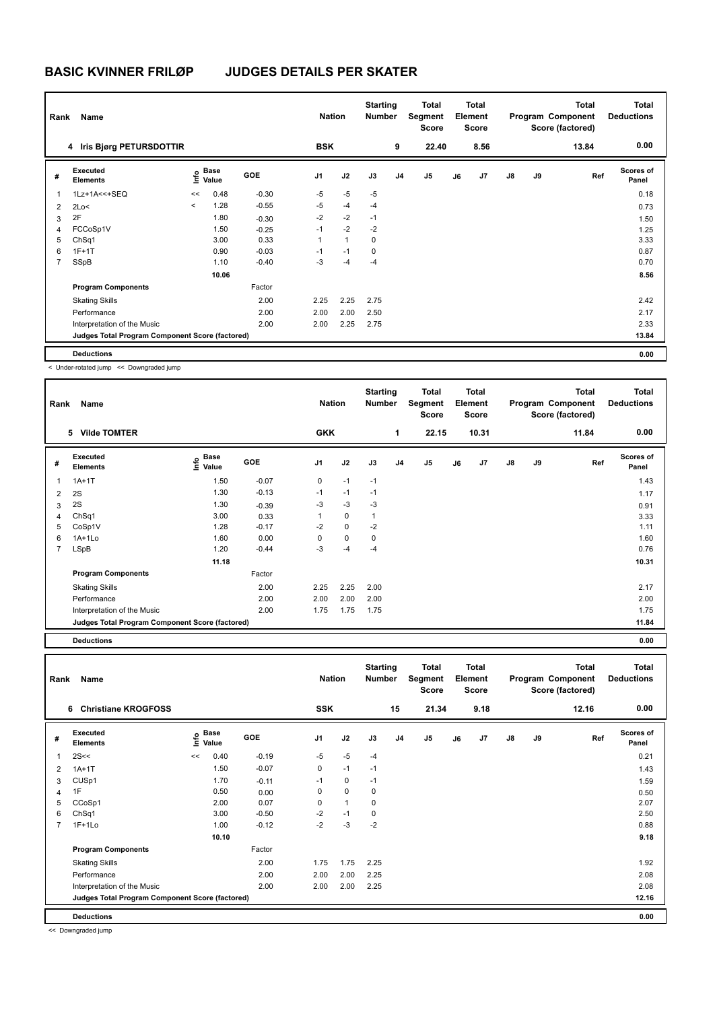# **BASIC KVINNER FRILØP JUDGES DETAILS PER SKATER**

| Name<br>Rank   |                                                 |         |                      |            | <b>Nation</b>  |              | <b>Starting</b><br><b>Number</b> |                | <b>Total</b><br>Segment<br>Score |    | <b>Total</b><br>Element<br><b>Score</b> |               |    | <b>Total</b><br>Program Component<br>Score (factored) | <b>Total</b><br><b>Deductions</b> |
|----------------|-------------------------------------------------|---------|----------------------|------------|----------------|--------------|----------------------------------|----------------|----------------------------------|----|-----------------------------------------|---------------|----|-------------------------------------------------------|-----------------------------------|
|                | 4 Iris Bjørg PETURSDOTTIR                       |         |                      |            | <b>BSK</b>     |              |                                  | 9              | 22.40                            |    | 8.56                                    |               |    | 13.84                                                 | 0.00                              |
| #              | Executed<br><b>Elements</b>                     | lnfo    | <b>Base</b><br>Value | <b>GOE</b> | J <sub>1</sub> | J2           | J3                               | J <sub>4</sub> | J5                               | J6 | J <sub>7</sub>                          | $\mathsf{J}8$ | J9 | Ref                                                   | Scores of<br>Panel                |
| $\mathbf{1}$   | 1Lz+1A<<+SEQ                                    | <<      | 0.48                 | $-0.30$    | $-5$           | $-5$         | $-5$                             |                |                                  |    |                                         |               |    |                                                       | 0.18                              |
| 2              | 2Lo<                                            | $\prec$ | 1.28                 | $-0.55$    | $-5$           | $-4$         | $-4$                             |                |                                  |    |                                         |               |    |                                                       | 0.73                              |
| 3              | 2F                                              |         | 1.80                 | $-0.30$    | $-2$           | $-2$         | $-1$                             |                |                                  |    |                                         |               |    |                                                       | 1.50                              |
| $\overline{4}$ | FCCoSp1V                                        |         | 1.50                 | $-0.25$    | $-1$           | $-2$         | $-2$                             |                |                                  |    |                                         |               |    |                                                       | 1.25                              |
| 5              | ChSq1                                           |         | 3.00                 | 0.33       | 1              | $\mathbf{1}$ | 0                                |                |                                  |    |                                         |               |    |                                                       | 3.33                              |
| 6              | $1F+1T$                                         |         | 0.90                 | $-0.03$    | $-1$           | $-1$         | 0                                |                |                                  |    |                                         |               |    |                                                       | 0.87                              |
| $\overline{7}$ | SSpB                                            |         | 1.10                 | $-0.40$    | $-3$           | $-4$         | $-4$                             |                |                                  |    |                                         |               |    |                                                       | 0.70                              |
|                |                                                 |         | 10.06                |            |                |              |                                  |                |                                  |    |                                         |               |    |                                                       | 8.56                              |
|                | <b>Program Components</b>                       |         |                      | Factor     |                |              |                                  |                |                                  |    |                                         |               |    |                                                       |                                   |
|                | <b>Skating Skills</b>                           |         |                      | 2.00       | 2.25           | 2.25         | 2.75                             |                |                                  |    |                                         |               |    |                                                       | 2.42                              |
|                | Performance                                     |         |                      | 2.00       | 2.00           | 2.00         | 2.50                             |                |                                  |    |                                         |               |    |                                                       | 2.17                              |
|                | Interpretation of the Music                     |         |                      | 2.00       | 2.00           | 2.25         | 2.75                             |                |                                  |    |                                         |               |    |                                                       | 2.33                              |
|                | Judges Total Program Component Score (factored) |         |                      |            |                |              |                                  |                |                                  |    |                                         |               |    |                                                       | 13.84                             |
|                | <b>Deductions</b>                               |         |                      |            |                |              |                                  |                |                                  |    |                                         |               |    |                                                       | 0.00                              |

< Under-rotated jump << Downgraded jump

| Rank           | Name                                            |                           |         | <b>Nation</b>  |             | <b>Starting</b><br>Number |                | Total<br>Segment<br><b>Score</b> |    | <b>Total</b><br>Element<br><b>Score</b> |               |    | <b>Total</b><br>Program Component<br>Score (factored) | <b>Total</b><br><b>Deductions</b> |
|----------------|-------------------------------------------------|---------------------------|---------|----------------|-------------|---------------------------|----------------|----------------------------------|----|-----------------------------------------|---------------|----|-------------------------------------------------------|-----------------------------------|
|                | <b>Vilde TOMTER</b><br>5                        |                           |         | <b>GKK</b>     |             |                           | 1              | 22.15                            |    | 10.31                                   |               |    | 11.84                                                 | 0.00                              |
| #              | Executed<br><b>Elements</b>                     | Base<br>o Base<br>⊆ Value | GOE     | J <sub>1</sub> | J2          | J3                        | J <sub>4</sub> | J5                               | J6 | J7                                      | $\mathsf{J}8$ | J9 | Ref                                                   | <b>Scores of</b><br>Panel         |
|                | $1A+1T$                                         | 1.50                      | $-0.07$ | 0              | $-1$        | $-1$                      |                |                                  |    |                                         |               |    |                                                       | 1.43                              |
| 2              | 2S                                              | 1.30                      | $-0.13$ | $-1$           | $-1$        | $-1$                      |                |                                  |    |                                         |               |    |                                                       | 1.17                              |
| 3              | 2S                                              | 1.30                      | $-0.39$ | -3             | $-3$        | $-3$                      |                |                                  |    |                                         |               |    |                                                       | 0.91                              |
| $\overline{4}$ | ChSq1                                           | 3.00                      | 0.33    |                | 0           | -1                        |                |                                  |    |                                         |               |    |                                                       | 3.33                              |
| 5              | CoSp1V                                          | 1.28                      | $-0.17$ | $-2$           | $\mathbf 0$ | $-2$                      |                |                                  |    |                                         |               |    |                                                       | 1.11                              |
| 6              | $1A+1Lo$                                        | 1.60                      | 0.00    | 0              | $\mathbf 0$ | 0                         |                |                                  |    |                                         |               |    |                                                       | 1.60                              |
| $\overline{7}$ | LSpB                                            | 1.20                      | $-0.44$ | -3             | $-4$        | $-4$                      |                |                                  |    |                                         |               |    |                                                       | 0.76                              |
|                |                                                 | 11.18                     |         |                |             |                           |                |                                  |    |                                         |               |    |                                                       | 10.31                             |
|                | <b>Program Components</b>                       |                           | Factor  |                |             |                           |                |                                  |    |                                         |               |    |                                                       |                                   |
|                | <b>Skating Skills</b>                           |                           | 2.00    | 2.25           | 2.25        | 2.00                      |                |                                  |    |                                         |               |    |                                                       | 2.17                              |
|                | Performance                                     |                           | 2.00    | 2.00           | 2.00        | 2.00                      |                |                                  |    |                                         |               |    |                                                       | 2.00                              |
|                | Interpretation of the Music                     |                           | 2.00    | 1.75           | 1.75        | 1.75                      |                |                                  |    |                                         |               |    |                                                       | 1.75                              |
|                | Judges Total Program Component Score (factored) |                           |         |                |             |                           |                |                                  |    |                                         |               |    |                                                       | 11.84                             |

**Deductions 0.00**

| Rank           | Name                                            |      |               |         | <b>Nation</b> |              | <b>Starting</b><br><b>Number</b> |                | <b>Total</b><br>Segment<br><b>Score</b> |    | Total<br>Element<br><b>Score</b> |               |    | <b>Total</b><br>Program Component<br>Score (factored) | <b>Total</b><br><b>Deductions</b> |
|----------------|-------------------------------------------------|------|---------------|---------|---------------|--------------|----------------------------------|----------------|-----------------------------------------|----|----------------------------------|---------------|----|-------------------------------------------------------|-----------------------------------|
|                | <b>Christiane KROGFOSS</b><br>6                 |      |               |         | <b>SSK</b>    |              |                                  | 15             | 21.34                                   |    | 9.18                             |               |    | 12.16                                                 | 0.00                              |
| #              | Executed<br><b>Elements</b>                     | lnfo | Base<br>Value | GOE     | J1            | J2           | J3                               | J <sub>4</sub> | J5                                      | J6 | J <sub>7</sub>                   | $\mathsf{J}8$ | J9 | Ref                                                   | <b>Scores of</b><br>Panel         |
| $\mathbf{1}$   | 2S<<                                            | <<   | 0.40          | $-0.19$ | $-5$          | $-5$         | $-4$                             |                |                                         |    |                                  |               |    |                                                       | 0.21                              |
| 2              | $1A+1T$                                         |      | 1.50          | $-0.07$ | 0             | $-1$         | $-1$                             |                |                                         |    |                                  |               |    |                                                       | 1.43                              |
| 3              | CUSp1                                           |      | 1.70          | $-0.11$ | $-1$          | $\mathbf 0$  | $-1$                             |                |                                         |    |                                  |               |    |                                                       | 1.59                              |
| $\overline{4}$ | 1F                                              |      | 0.50          | 0.00    | 0             | $\mathbf 0$  | 0                                |                |                                         |    |                                  |               |    |                                                       | 0.50                              |
| 5              | CCoSp1                                          |      | 2.00          | 0.07    | 0             | $\mathbf{1}$ | 0                                |                |                                         |    |                                  |               |    |                                                       | 2.07                              |
| 6              | ChSq1                                           |      | 3.00          | $-0.50$ | $-2$          | $-1$         | 0                                |                |                                         |    |                                  |               |    |                                                       | 2.50                              |
| 7              | $1F+1Lo$                                        |      | 1.00          | $-0.12$ | $-2$          | $-3$         | $-2$                             |                |                                         |    |                                  |               |    |                                                       | 0.88                              |
|                |                                                 |      | 10.10         |         |               |              |                                  |                |                                         |    |                                  |               |    |                                                       | 9.18                              |
|                | <b>Program Components</b>                       |      |               | Factor  |               |              |                                  |                |                                         |    |                                  |               |    |                                                       |                                   |
|                | <b>Skating Skills</b>                           |      |               | 2.00    | 1.75          | 1.75         | 2.25                             |                |                                         |    |                                  |               |    |                                                       | 1.92                              |
|                | Performance                                     |      |               | 2.00    | 2.00          | 2.00         | 2.25                             |                |                                         |    |                                  |               |    |                                                       | 2.08                              |
|                | Interpretation of the Music                     |      |               | 2.00    | 2.00          | 2.00         | 2.25                             |                |                                         |    |                                  |               |    |                                                       | 2.08                              |
|                | Judges Total Program Component Score (factored) |      |               |         |               |              |                                  |                |                                         |    |                                  |               |    |                                                       | 12.16                             |
|                | <b>Deductions</b>                               |      |               |         |               |              |                                  |                |                                         |    |                                  |               |    |                                                       | 0.00                              |

<< Downgraded jump